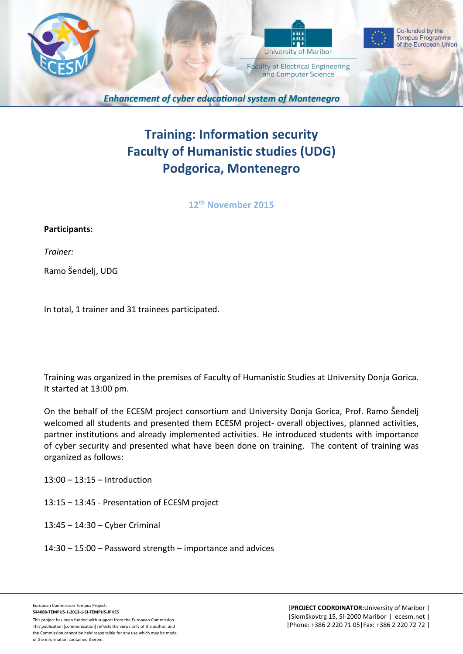

# **Training: Information security Faculty of Humanistic studies (UDG) Podgorica, Montenegro**

**12 th November 2015**

## **Participants:**

*Trainer:*

Ramo Šendelj, UDG

In total, 1 trainer and 31 trainees participated.

Training was organized in the premises of Faculty of Humanistic Studies at University Donja Gorica. It started at 13:00 pm.

On the behalf of the ECESM project consortium and University Donja Gorica, Prof. Ramo Šendelj welcomed all students and presented them ECESM project- overall objectives, planned activities, partner institutions and already implemented activities. He introduced students with importance of cyber security and presented what have been done on training. The content of training was organized as follows:

- 13:00 13:15 Introduction
- 13:15 13:45 Presentation of ECESM project
- 13:45 14:30 Cyber Criminal
- 14:30 15:00 Password strength importance and advices

This publication [communication] reflects the views only of the author, and the Commission cannot be held responsible for any use which may be made of the information contained therein.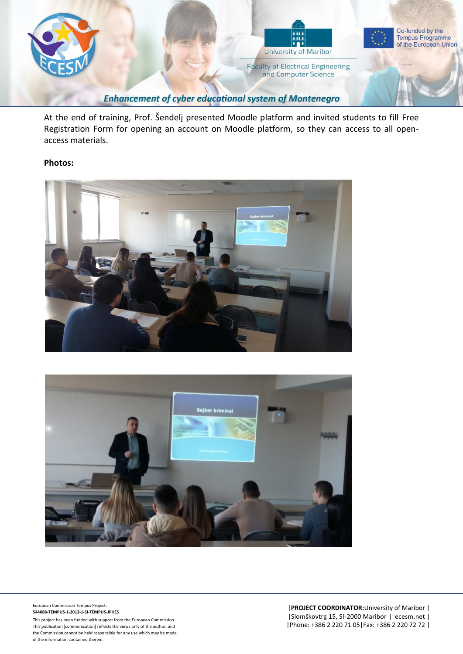

At the end of training, Prof. Šendelj presented Moodle platform and invited students to fill Free Registration Form for opening an account on Moodle platform, so they can access to all openaccess materials.

### **Photos:**





European Commission Tempus Project: **544088-TEMPUS-1-2013-1-SI-TEMPUS-JPHES**

This project has been funded with support from the European Commission. This publication [communication] reflects the views only of the author, and the Commission cannot be held responsible for any use which may be made of the information contained therein.

|**PROJECT COORDINATOR:**University of Maribor | |Slomškovtrg 15, SI-2000 Maribor | ecesm.net | |Phone: +386 2 220 71 05|Fax: +386 2 220 72 72 |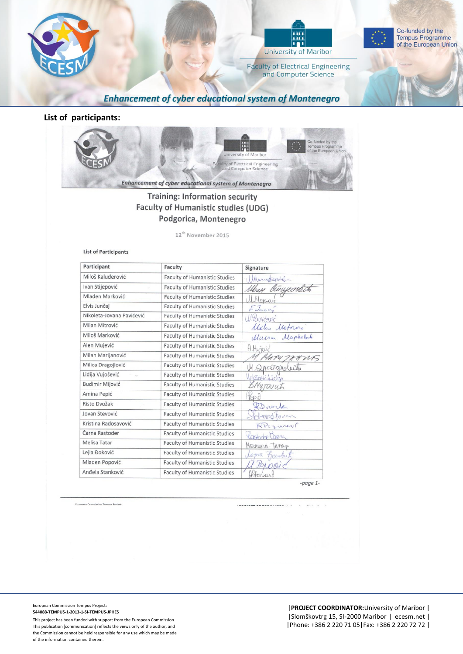



Co-funded by the **Tempus Programme** of the European Union

**Faculty of Electrical Engineering** and Computer Science

**Enhancement of cyber educational system of Montenegro** 

### **List of participants:**



## **Training: Information security** Faculty of Humanistic studies (UDG) Podgorica, Montenegro

12<sup>th</sup> November 2015

#### **List of Participants**

| Participant               | Faculty                              | Signature       |
|---------------------------|--------------------------------------|-----------------|
| Miloš Kaluđerović         | <b>Faculty of Humanistic Studies</b> | Wunytgebel      |
| Ivan Stijepović           | <b>Faculty of Humanistic Studies</b> | Was Currecolut  |
| Mladen Marković           | <b>Faculty of Humanistic Studies</b> | Marcono         |
| Elvis Junčaj              | Faculty of Humanistic Studies        | FJuca,          |
| Nikoleta-Jovana Pavićević | <b>Faculty of Humanistic Studies</b> | L'avicairé      |
| Milan Mitrović            | <b>Faculty of Humanistic Studies</b> | Malau Metrine   |
| Miloš Marković            | <b>Faculty of Humanistic Studies</b> | Murow Maphobit  |
| Alen Mujević              | <b>Faculty of Humanistic Studies</b> | A.Murjouic      |
| Milan Marijanović         | <b>Faculty of Humanistic Studies</b> | 1. MAPU TAHUS   |
| Milica Dragojlović        | <b>Faculty of Humanistic Studies</b> | 14 Anciendecido |
| Lidija Vujošević<br>×     | <b>Faculty of Humanistic Studies</b> | Wricecoic Liche |
| Budimir Mijović           | <b>Faculty of Humanistic Studies</b> | BMyTOUUti       |
| Amina Pepić               | <b>Faculty of Humanistic Studies</b> | <b>FODIC</b>    |
| Risto Dvožak              | <b>Faculty of Humanistic Studies</b> | Donk            |
| Jovan Stevović            | <b>Faculty of Humanistic Studies</b> | chardform       |
| Kristina Radosavović      | <b>Faculty of Humanistic Studies</b> | RPCzurev        |
| Čarna Rastoder            | <b>Faculty of Humanistic Studies</b> | Castoche Carna  |
| Melisa Tatar              | <b>Faculty of Humanistic Studies</b> | MEDUCA TAMP     |
| Lejla Đoković             | <b>Faculty of Humanistic Studies</b> | Leona Fourbut   |
| Mladen Popović            | <b>Faculty of Humanistic Studies</b> | PONOCIC         |
| Anđela Stanković          | <b>Faculty of Humanistic Studies</b> | AStenhard       |

| sean Commission Tempus Project: |        |  | $\sim$ | $\cdots$ |  |
|---------------------------------|--------|--|--------|----------|--|
|                                 |        |  |        |          |  |
|                                 | $\sim$ |  |        |          |  |
|                                 |        |  |        |          |  |

European Commission Tempus Project: **544088-TEMPUS-1-2013-1-SI-TEMPUS-JPHES**

This project has been funded with support from the European Commission. This publication [communication] reflects the views only of the author, and the Commission cannot be held responsible for any use which may be made of the information contained therein.

|**PROJECT COORDINATOR:**University of Maribor | |Slomškovtrg 15, SI-2000 Maribor | ecesm.net | |Phone: +386 2 220 71 05|Fax: +386 2 220 72 72 |